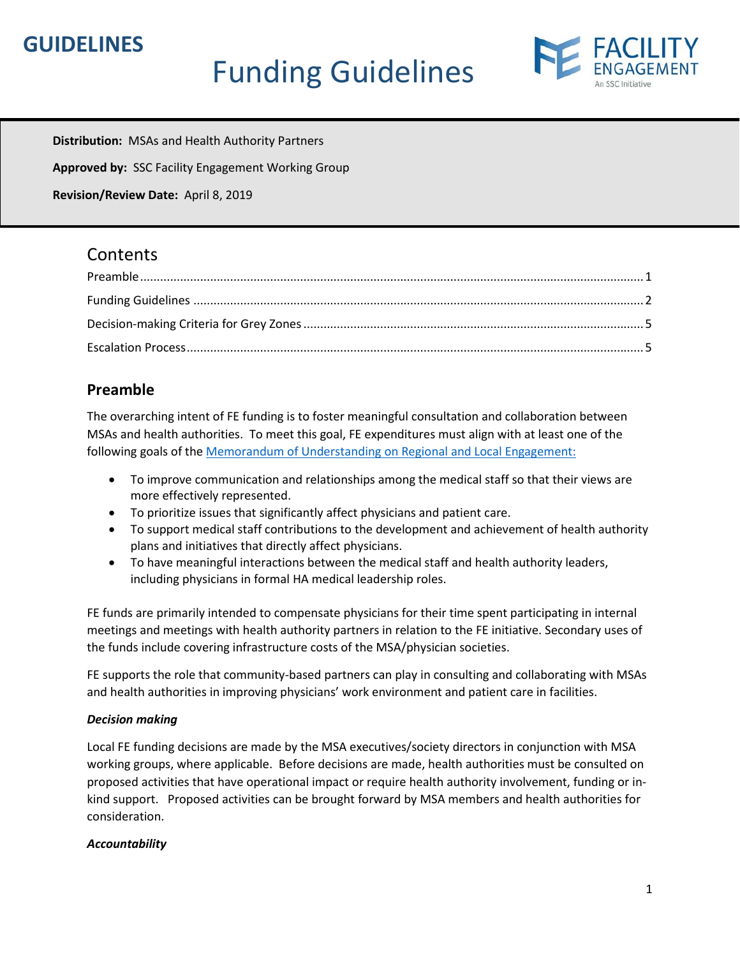## **GUIDELINES**

# Funding Guidelines



**Distribution:** MSAs and Health Authority Partners

**Approved by:** SSC Facility Engagement Working Group

**Revision/Review Date:** April 8, 2019

## **Contents**

## <span id="page-0-0"></span>**Preamble**

The overarching intent of FE funding is to foster meaningful consultation and collaboration between MSAs and health authorities. To meet this goal, FE expenditures must align with at least one of the following goals of the Memorandum of Understanding [on Regional and Local Engagement:](https://mfiles.doctorsofbc.ca/SharedLinks.aspx?accesskey=87d4e8fae084d2afabfd64b645b91d8f880cc30a9627f95aebd76b1b6144426d&VaultGUID=D43316D7-A660-4C25-A7F3-285FB47DAEC5) 

- To improve communication and relationships among the medical staff so that their views are more effectively represented.
- To prioritize issues that significantly affect physicians and patient care.
- To support medical staff contributions to the development and achievement of health authority plans and initiatives that directly affect physicians.
- To have meaningful interactions between the medical staff and health authority leaders, including physicians in formal HA medical leadership roles.

FE funds are primarily intended to compensate physicians for their time spent participating in internal meetings and meetings with health authority partners in relation to the FE initiative. Secondary uses of the funds include covering infrastructure costs of the MSA/physician societies.

FE supports the role that community-based partners can play in consulting and collaborating with MSAs and health authorities in improving physicians' work environment and patient care in facilities.

#### *Decision making*

Local FE funding decisions are made by the MSA executives/society directors in conjunction with MSA working groups, where applicable. Before decisions are made, health authorities must be consulted on proposed activities that have operational impact or require health authority involvement, funding or inkind support. Proposed activities can be brought forward by MSA members and health authorities for consideration.

#### *Accountability*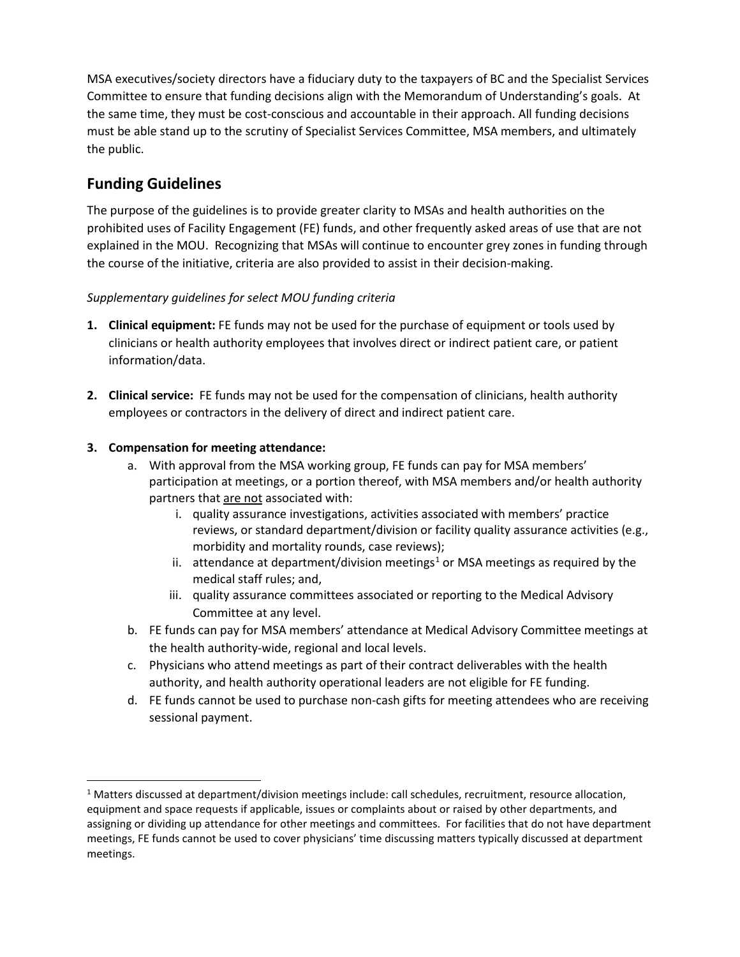MSA executives/society directors have a fiduciary duty to the taxpayers of BC and the Specialist Services Committee to ensure that funding decisions align with the Memorandum of Understanding's goals. At the same time, they must be cost-conscious and accountable in their approach. All funding decisions must be able stand up to the scrutiny of Specialist Services Committee, MSA members, and ultimately the public.

## <span id="page-1-0"></span>**Funding Guidelines**

The purpose of the guidelines is to provide greater clarity to MSAs and health authorities on the prohibited uses of Facility Engagement (FE) funds, and other frequently asked areas of use that are not explained in the MOU. Recognizing that MSAs will continue to encounter grey zones in funding through the course of the initiative, criteria are also provided to assist in their decision-making.

#### *Supplementary guidelines for select MOU funding criteria*

- **1. Clinical equipment:** FE funds may not be used for the purchase of equipment or tools used by clinicians or health authority employees that involves direct or indirect patient care, or patient information/data.
- **2. Clinical service:** FE funds may not be used for the compensation of clinicians, health authority employees or contractors in the delivery of direct and indirect patient care.

#### **3. Compensation for meeting attendance:**

- a. With approval from the MSA working group, FE funds can pay for MSA members' participation at meetings, or a portion thereof, with MSA members and/or health authority partners that are not associated with:
	- i. quality assurance investigations, activities associated with members' practice reviews, or standard department/division or facility quality assurance activities (e.g., morbidity and mortality rounds, case reviews);
	- ii. attendance at department/division meetings<sup>[1](#page-1-1)</sup> or MSA meetings as required by the medical staff rules; and,
	- iii. quality assurance committees associated or reporting to the Medical Advisory Committee at any level.
- b. FE funds can pay for MSA members' attendance at Medical Advisory Committee meetings at the health authority-wide, regional and local levels.
- c. Physicians who attend meetings as part of their contract deliverables with the health authority, and health authority operational leaders are not eligible for FE funding.
- d. FE funds cannot be used to purchase non-cash gifts for meeting attendees who are receiving sessional payment.

<span id="page-1-1"></span> $1$  Matters discussed at department/division meetings include: call schedules, recruitment, resource allocation, equipment and space requests if applicable, issues or complaints about or raised by other departments, and assigning or dividing up attendance for other meetings and committees. For facilities that do not have department meetings, FE funds cannot be used to cover physicians' time discussing matters typically discussed at department meetings.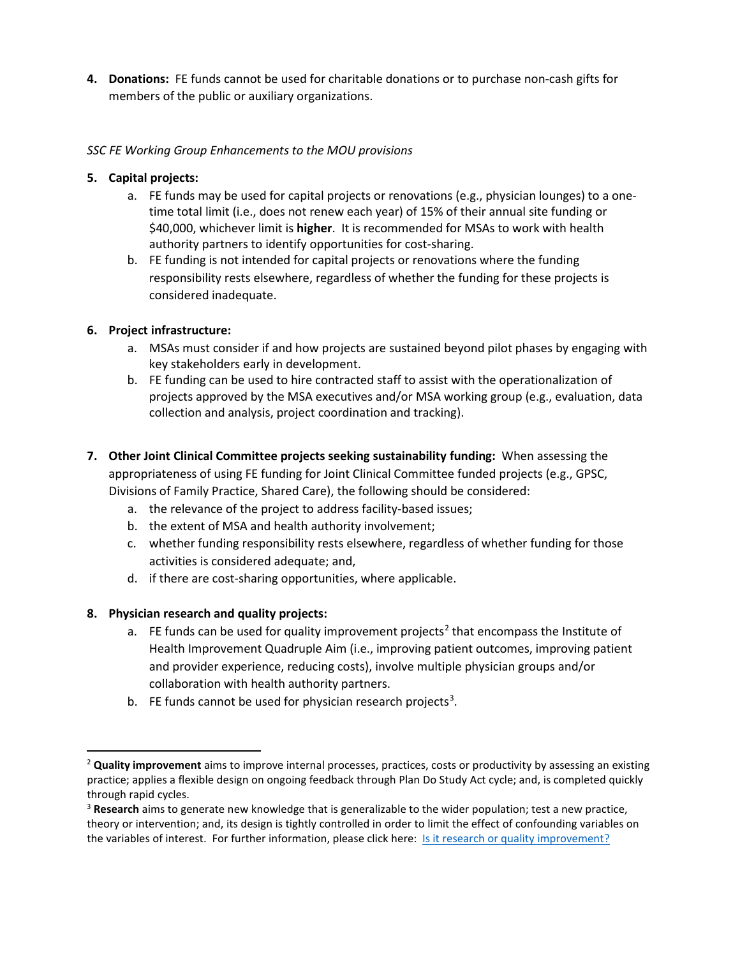**4. Donations:** FE funds cannot be used for charitable donations or to purchase non-cash gifts for members of the public or auxiliary organizations.

#### *SSC FE Working Group Enhancements to the MOU provisions*

#### **5. Capital projects:**

- a. FE funds may be used for capital projects or renovations (e.g., physician lounges) to a onetime total limit (i.e., does not renew each year) of 15% of their annual site funding or \$40,000, whichever limit is **higher**. It is recommended for MSAs to work with health authority partners to identify opportunities for cost-sharing.
- b. FE funding is not intended for capital projects or renovations where the funding responsibility rests elsewhere, regardless of whether the funding for these projects is considered inadequate.

#### **6. Project infrastructure:**

- a. MSAs must consider if and how projects are sustained beyond pilot phases by engaging with key stakeholders early in development.
- b. FE funding can be used to hire contracted staff to assist with the operationalization of projects approved by the MSA executives and/or MSA working group (e.g., evaluation, data collection and analysis, project coordination and tracking).
- **7. Other Joint Clinical Committee projects seeking sustainability funding:** When assessing the appropriateness of using FE funding for Joint Clinical Committee funded projects (e.g., GPSC, Divisions of Family Practice, Shared Care), the following should be considered:
	- a. the relevance of the project to address facility-based issues;
	- b. the extent of MSA and health authority involvement;
	- c. whether funding responsibility rests elsewhere, regardless of whether funding for those activities is considered adequate; and,
	- d. if there are cost-sharing opportunities, where applicable.

#### **8. Physician research and quality projects:**

- a. FE funds can be used for quality improvement projects<sup>[2](#page-2-0)</sup> that encompass the Institute of Health Improvement Quadruple Aim (i.e., improving patient outcomes, improving patient and provider experience, reducing costs), involve multiple physician groups and/or collaboration with health authority partners.
- b. FE funds cannot be used for physician research projects<sup>[3](#page-2-1)</sup>.

<span id="page-2-0"></span> <sup>2</sup> **Quality improvement** aims to improve internal processes, practices, costs or productivity by assessing an existing practice; applies a flexible design on ongoing feedback through Plan Do Study Act cycle; and, is completed quickly through rapid cycles.

<span id="page-2-1"></span><sup>3</sup> **Research** aims to generate new knowledge that is generalizable to the wider population; test a new practice, theory or intervention; and, its design is tightly controlled in order to limit the effect of confounding variables on the variables of interest. For further information, please click here: Is it research or quality improvement?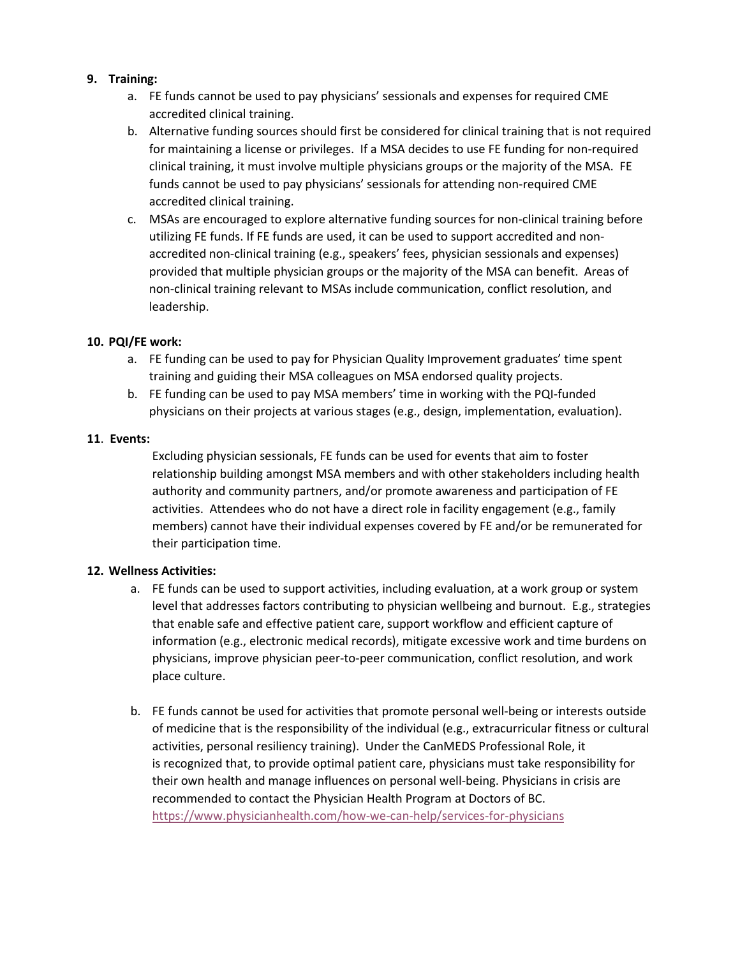#### **9. Training:**

- a. FE funds cannot be used to pay physicians' sessionals and expenses for required CME accredited clinical training.
- b. Alternative funding sources should first be considered for clinical training that is not required for maintaining a license or privileges. If a MSA decides to use FE funding for non-required clinical training, it must involve multiple physicians groups or the majority of the MSA. FE funds cannot be used to pay physicians' sessionals for attending non-required CME accredited clinical training.
- c. MSAs are encouraged to explore alternative funding sources for non-clinical training before utilizing FE funds. If FE funds are used, it can be used to support accredited and nonaccredited non-clinical training (e.g., speakers' fees, physician sessionals and expenses) provided that multiple physician groups or the majority of the MSA can benefit. Areas of non-clinical training relevant to MSAs include communication, conflict resolution, and leadership.

#### **10. PQI/FE work:**

- a. FE funding can be used to pay for Physician Quality Improvement graduates' time spent training and guiding their MSA colleagues on MSA endorsed quality projects.
- b. FE funding can be used to pay MSA members' time in working with the PQI-funded physicians on their projects at various stages (e.g., design, implementation, evaluation).

#### **11**. **Events:**

Excluding physician sessionals, FE funds can be used for events that aim to foster relationship building amongst MSA members and with other stakeholders including health authority and community partners, and/or promote awareness and participation of FE activities. Attendees who do not have a direct role in facility engagement (e.g., family members) cannot have their individual expenses covered by FE and/or be remunerated for their participation time.

#### **12. Wellness Activities:**

- a. FE funds can be used to support activities, including evaluation, at a work group or system level that addresses factors contributing to physician wellbeing and burnout. E.g., strategies that enable safe and effective patient care, support workflow and efficient capture of information (e.g., electronic medical records), mitigate excessive work and time burdens on physicians, improve physician peer-to-peer communication, conflict resolution, and work place culture.
- b. FE funds cannot be used for activities that promote personal well-being or interests outside of medicine that is the responsibility of the individual (e.g., extracurricular fitness or cultural activities, personal resiliency training). Under the CanMEDS Professional Role, it is recognized that, to provide optimal patient care, physicians must take responsibility for their own health and manage influences on personal well-being. Physicians in crisis are recommended to contact the Physician Health Program at Doctors of BC. [https://www.physicianhealth.com/how-we-can-help/services-for-physicians](https://nam04.safelinks.protection.outlook.com/?url=https%3A%2F%2Fwww.physicianhealth.com%2Fhow-we-can-help%2Fservices-for-physicians&data=02%7C01%7C%7C328cc2d87d6a45bdd9e908d6a4188823%7C84df9e7fe9f640afb435aaaaaaaaaaaa%7C1%7C0%7C636876822595487917&sdata=x87lTeB0VONMvpnKJsVuM%2Fuby1MqA1oPhcP3fN5thrw%3D&reserved=0)